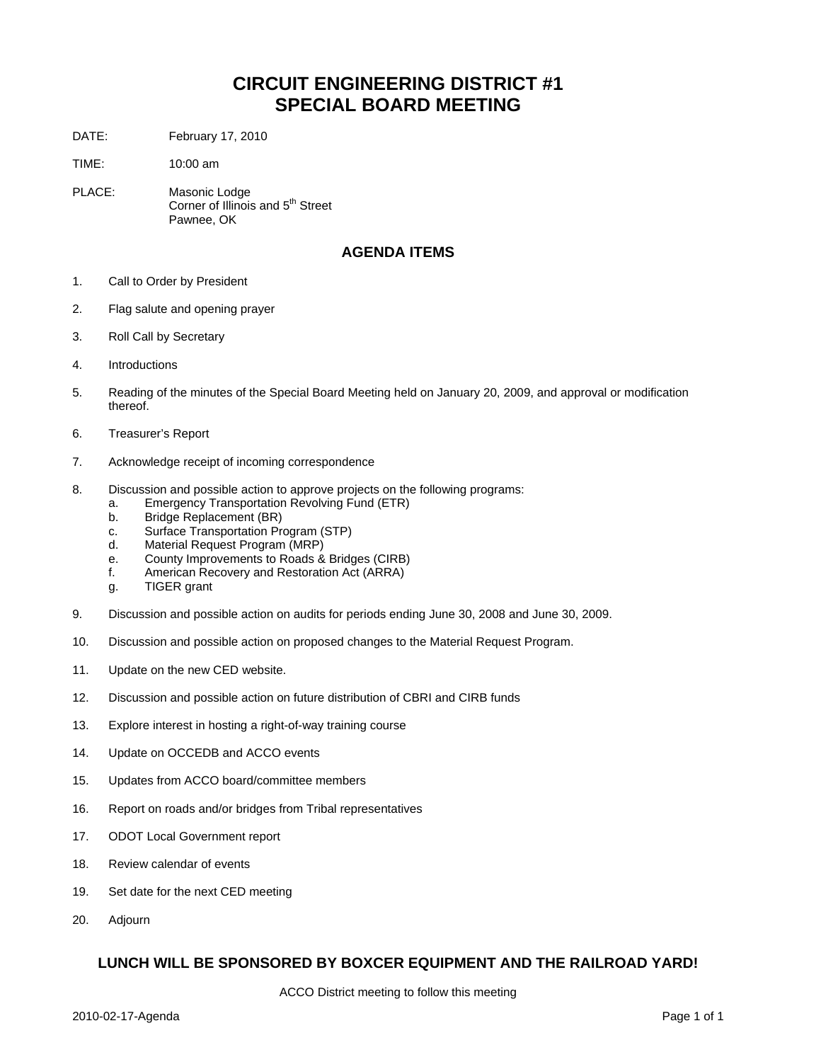### **CIRCUIT ENGINEERING DISTRICT #1 SPECIAL BOARD MEETING**

DATE: February 17, 2010

TIME: 10:00 am

PLACE: Masonic Lodge Corner of Illinois and 5<sup>th</sup> Street Pawnee, OK

#### **AGENDA ITEMS**

- 1. Call to Order by President
- 2. Flag salute and opening prayer
- 3. Roll Call by Secretary
- 4. Introductions
- 5. Reading of the minutes of the Special Board Meeting held on January 20, 2009, and approval or modification thereof.
- 6. Treasurer's Report
- 7. Acknowledge receipt of incoming correspondence
- 8. Discussion and possible action to approve projects on the following programs:
	- a. Emergency Transportation Revolving Fund (ETR)
	- b. Bridge Replacement (BR)
	- c. Surface Transportation Program (STP)
	- d. Material Request Program (MRP)
	- e. County Improvements to Roads & Bridges (CIRB)
	- f. American Recovery and Restoration Act (ARRA)
	- g. TIGER grant
- 9. Discussion and possible action on audits for periods ending June 30, 2008 and June 30, 2009.
- 10. Discussion and possible action on proposed changes to the Material Request Program.
- 11. Update on the new CED website.
- 12. Discussion and possible action on future distribution of CBRI and CIRB funds
- 13. Explore interest in hosting a right-of-way training course
- 14. Update on OCCEDB and ACCO events
- 15. Updates from ACCO board/committee members
- 16. Report on roads and/or bridges from Tribal representatives
- 17. ODOT Local Government report
- 18. Review calendar of events
- 19. Set date for the next CED meeting
- 20. Adjourn

#### **LUNCH WILL BE SPONSORED BY BOXCER EQUIPMENT AND THE RAILROAD YARD!**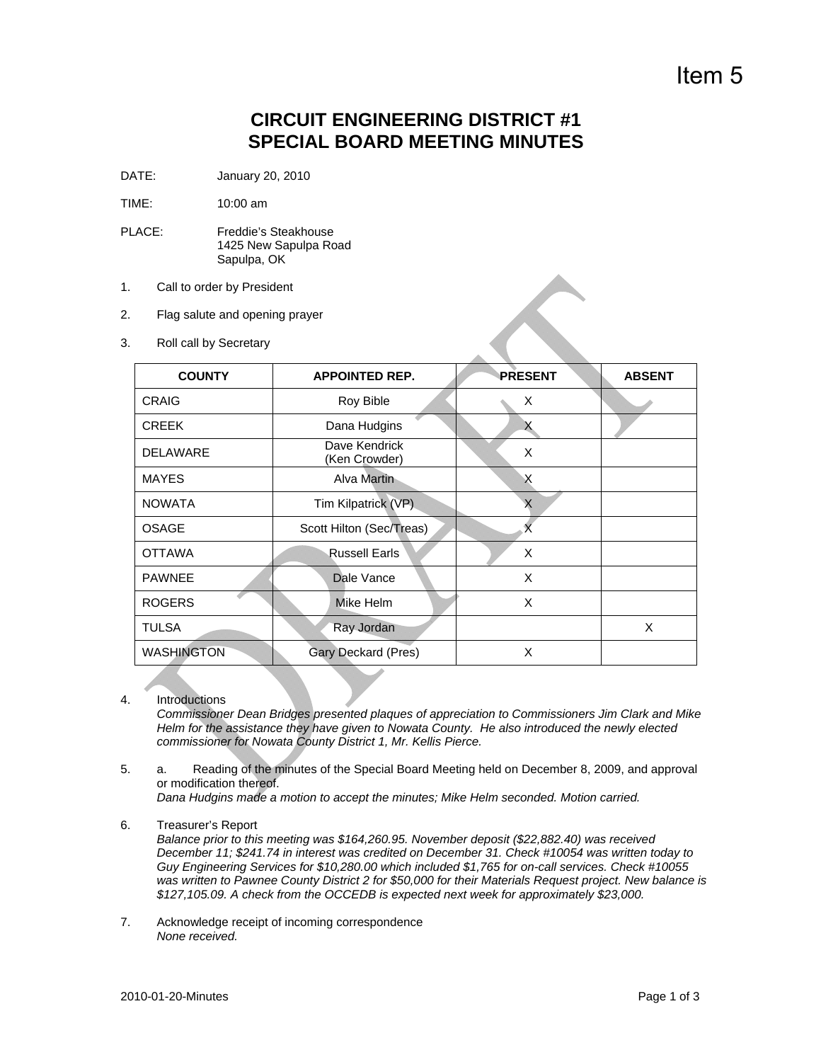# Item 5

### **CIRCUIT ENGINEERING DISTRICT #1 SPECIAL BOARD MEETING MINUTES**

DATE: January 20, 2010

TIME: 10:00 am

- PLACE: Freddie's Steakhouse 1425 New Sapulpa Road Sapulpa, OK
- 1. Call to order by President
- 2. Flag salute and opening prayer
- 3. Roll call by Secretary

| <b>COUNTY</b>     | <b>APPOINTED REP.</b>          | <b>PRESENT</b> | <b>ABSENT</b> |
|-------------------|--------------------------------|----------------|---------------|
| CRAIG             | Roy Bible                      | X              |               |
| <b>CREEK</b>      | Dana Hudgins                   | х              |               |
| <b>DELAWARE</b>   | Dave Kendrick<br>(Ken Crowder) | X              |               |
| <b>MAYES</b>      | Alva Martin                    | X              |               |
| <b>NOWATA</b>     | Tim Kilpatrick (VP).           | X              |               |
| <b>OSAGE</b>      | Scott Hilton (Sec/Treas)       |                |               |
| <b>OTTAWA</b>     | Russell Earls                  | X              |               |
| <b>PAWNEE</b>     | Dale Vance                     | X              |               |
| <b>ROGERS</b>     | Mike Helm                      | X              |               |
| <b>TULSA</b>      | Ray Jordan                     |                | X             |
| <b>WASHINGTON</b> | Gary Deckard (Pres)            | X              |               |

4. Introductions

*Commissioner Dean Bridges presented plaques of appreciation to Commissioners Jim Clark and Mike Helm for the assistance they have given to Nowata County. He also introduced the newly elected commissioner for Nowata County District 1, Mr. Kellis Pierce.* 

5. a. Reading of the minutes of the Special Board Meeting held on December 8, 2009, and approval or modification thereof.

*Dana Hudgins made a motion to accept the minutes; Mike Helm seconded. Motion carried.* 

6. Treasurer's Report

*Balance prior to this meeting was \$164,260.95. November deposit (\$22,882.40) was received December 11; \$241.74 in interest was credited on December 31. Check #10054 was written today to Guy Engineering Services for \$10,280.00 which included \$1,765 for on-call services. Check #10055 was written to Pawnee County District 2 for \$50,000 for their Materials Request project. New balance is \$127,105.09. A check from the OCCEDB is expected next week for approximately \$23,000.* 

7. Acknowledge receipt of incoming correspondence *None received.*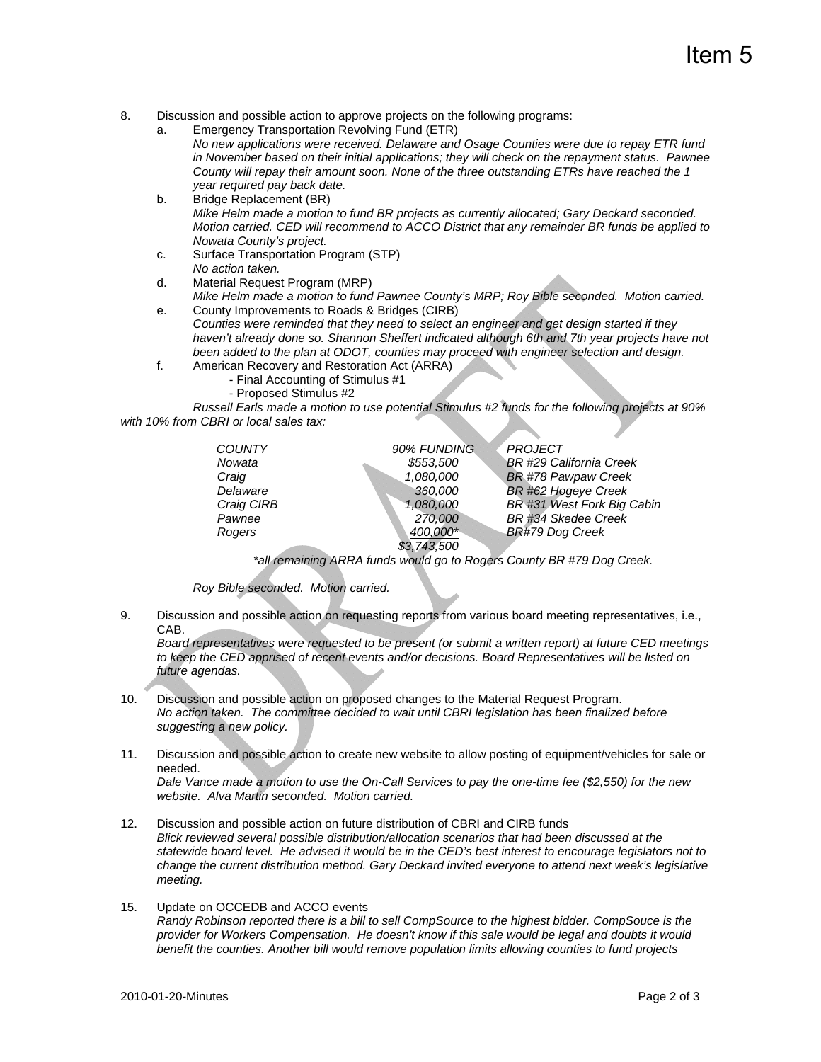# Item 5

- 8. Discussion and possible action to approve projects on the following programs:
	- a. Emergency Transportation Revolving Fund (ETR) *No new applications were received. Delaware and Osage Counties were due to repay ETR fund in November based on their initial applications; they will check on the repayment status. Pawnee County will repay their amount soon. None of the three outstanding ETRs have reached the 1 year required pay back date.*
	- b. Bridge Replacement (BR) *Mike Helm made a motion to fund BR projects as currently allocated; Gary Deckard seconded. Motion carried. CED will recommend to ACCO District that any remainder BR funds be applied to Nowata County's project.*
	- c. Surface Transportation Program (STP) *No action taken.*
	- d. Material Request Program (MRP) *Mike Helm made a motion to fund Pawnee County's MRP; Roy Bible seconded. Motion carried.*
	- e. County Improvements to Roads & Bridges (CIRB) *Counties were reminded that they need to select an engineer and get design started if they*  haven't already done so. Shannon Sheffert indicated although 6th and 7th year projects have not *been added to the plan at ODOT, counties may proceed with engineer selection and design.*
	- f. American Recovery and Restoration Act (ARRA)
		- Final Accounting of Stimulus #1
			- Proposed Stimulus #2

 *Russell Earls made a motion to use potential Stimulus #2 funds for the following projects at 90% with 10% from CBRI or local sales tax:* 

| <b>COUNTY</b> | 90% FUNDING | <b>PROJECT</b>             |
|---------------|-------------|----------------------------|
| Nowata        | \$553,500   | BR #29 California Creek    |
| Craig         | 1,080,000   | <b>BR #78 Pawpaw Creek</b> |
| Delaware      | 360,000     | BR #62 Hogeye Creek        |
| Craig CIRB    | 1,080,000   | BR #31 West Fork Big Cabin |
| Pawnee        | 270,000     | BR #34 Skedee Creek        |
| Rogers        | 400,000*    | BR#79 Dog Creek            |
|               | \$3,743,500 |                            |

 *\*all remaining ARRA funds would go to Rogers County BR #79 Dog Creek.* 

 *Roy Bible seconded. Motion carried.* 

9. Discussion and possible action on requesting reports from various board meeting representatives, i.e., CAB.

*Board representatives were requested to be present (or submit a written report) at future CED meetings*  to keep the CED apprised of recent events and/or decisions. Board Representatives will be listed on *future agendas.* 

- 10. Discussion and possible action on proposed changes to the Material Request Program. *No action taken. The committee decided to wait until CBRI legislation has been finalized before suggesting a new policy.*
- 11. Discussion and possible action to create new website to allow posting of equipment/vehicles for sale or needed.

*Dale Vance made a motion to use the On-Call Services to pay the one-time fee (\$2,550) for the new website. Alva Martin seconded. Motion carried.* 

- 12. Discussion and possible action on future distribution of CBRI and CIRB funds *Blick reviewed several possible distribution/allocation scenarios that had been discussed at the statewide board level. He advised it would be in the CED's best interest to encourage legislators not to change the current distribution method. Gary Deckard invited everyone to attend next week's legislative meeting.*
- 15. Update on OCCEDB and ACCO events *Randy Robinson reported there is a bill to sell CompSource to the highest bidder. CompSouce is the provider for Workers Compensation. He doesn't know if this sale would be legal and doubts it would benefit the counties. Another bill would remove population limits allowing counties to fund projects*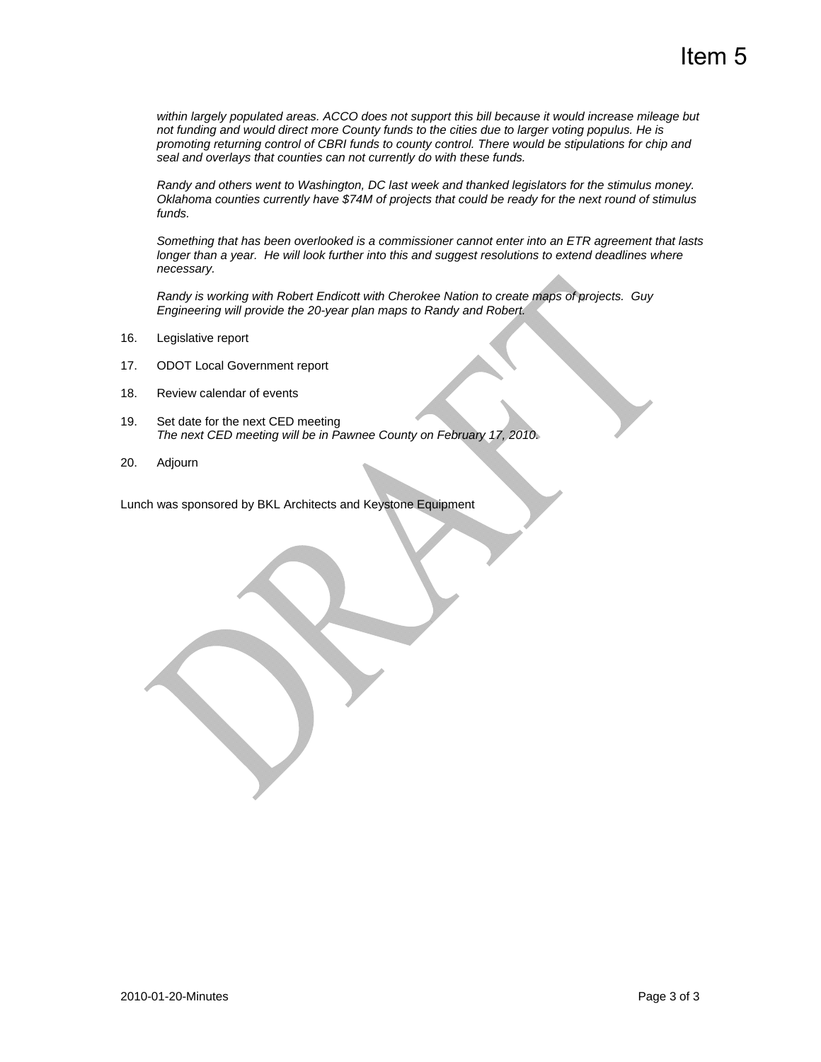*within largely populated areas. ACCO does not support this bill because it would increase mileage but not funding and would direct more County funds to the cities due to larger voting populus. He is promoting returning control of CBRI funds to county control. There would be stipulations for chip and seal and overlays that counties can not currently do with these funds.* 

 *Randy and others went to Washington, DC last week and thanked legislators for the stimulus money. Oklahoma counties currently have \$74M of projects that could be ready for the next round of stimulus funds.* 

 *Something that has been overlooked is a commissioner cannot enter into an ETR agreement that lasts*  longer than a year. He will look further into this and suggest resolutions to extend deadlines where *necessary.* 

 *Randy is working with Robert Endicott with Cherokee Nation to create maps of projects. Guy Engineering will provide the 20-year plan maps to Randy and Robert.* 

- 16. Legislative report
- 17. ODOT Local Government report
- 18. Review calendar of events
- 19. Set date for the next CED meeting *The next CED meeting will be in Pawnee County on February 17, 2010.*
- 20. Adjourn

Lunch was sponsored by BKL Architects and Keystone Equipment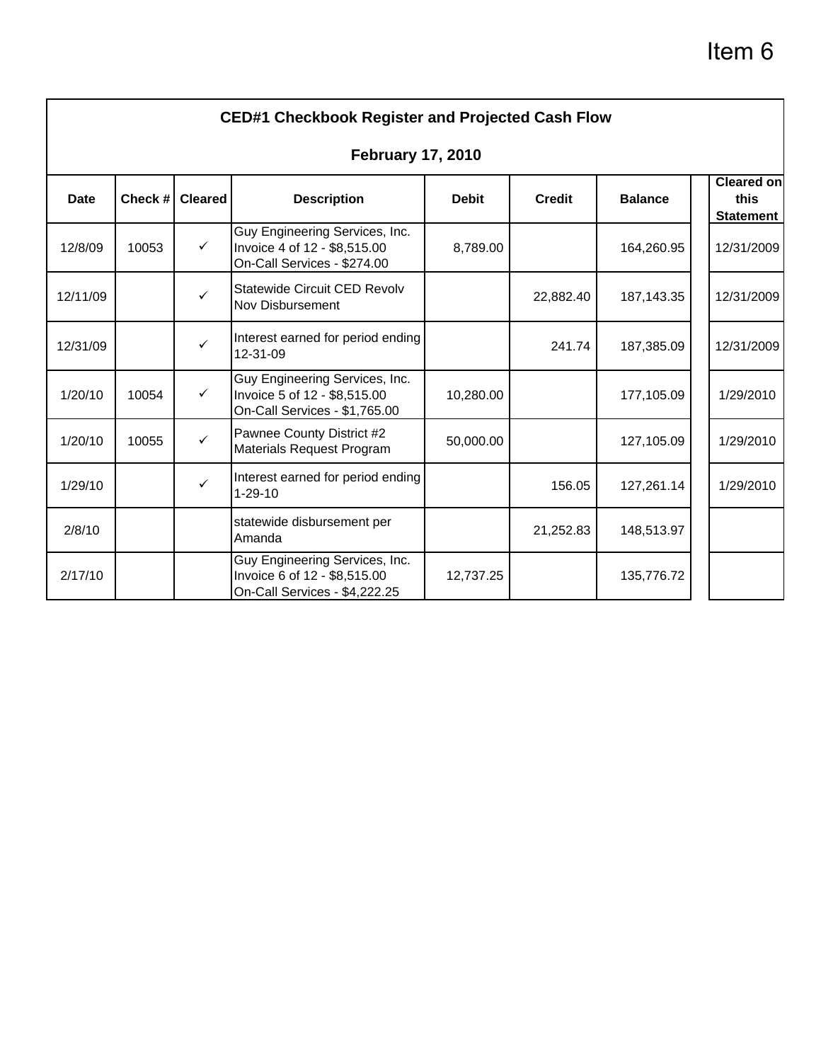# Item 6

|             |         |                | <b>CED#1 Checkbook Register and Projected Cash Flow</b>                                         |              |               |                |                                               |
|-------------|---------|----------------|-------------------------------------------------------------------------------------------------|--------------|---------------|----------------|-----------------------------------------------|
|             |         |                | <b>February 17, 2010</b>                                                                        |              |               |                |                                               |
| <b>Date</b> | Check # | <b>Cleared</b> | <b>Description</b>                                                                              | <b>Debit</b> | <b>Credit</b> | <b>Balance</b> | <b>Cleared on</b><br>this<br><b>Statement</b> |
| 12/8/09     | 10053   | $\checkmark$   | Guy Engineering Services, Inc.<br>Invoice 4 of 12 - \$8,515.00<br>On-Call Services - \$274.00   | 8,789.00     |               | 164,260.95     | 12/31/2009                                    |
| 12/11/09    |         | $\checkmark$   | Statewide Circuit CED Revolv<br><b>Nov Disbursement</b>                                         |              | 22,882.40     | 187, 143. 35   | 12/31/2009                                    |
| 12/31/09    |         | $\checkmark$   | Interest earned for period ending<br>12-31-09                                                   |              | 241.74        | 187,385.09     | 12/31/2009                                    |
| 1/20/10     | 10054   | $\checkmark$   | Guy Engineering Services, Inc.<br>Invoice 5 of 12 - \$8,515.00<br>On-Call Services - \$1,765.00 | 10,280.00    |               | 177,105.09     | 1/29/2010                                     |
| 1/20/10     | 10055   | $\checkmark$   | Pawnee County District #2<br>Materials Request Program                                          | 50,000.00    |               | 127,105.09     | 1/29/2010                                     |
| 1/29/10     |         | $\checkmark$   | Interest earned for period ending<br>$1 - 29 - 10$                                              |              | 156.05        | 127,261.14     | 1/29/2010                                     |
| 2/8/10      |         |                | statewide disbursement per<br>Amanda                                                            |              | 21,252.83     | 148,513.97     |                                               |
| 2/17/10     |         |                | Guy Engineering Services, Inc.<br>Invoice 6 of 12 - \$8,515.00<br>On-Call Services - \$4,222.25 | 12,737.25    |               | 135,776.72     |                                               |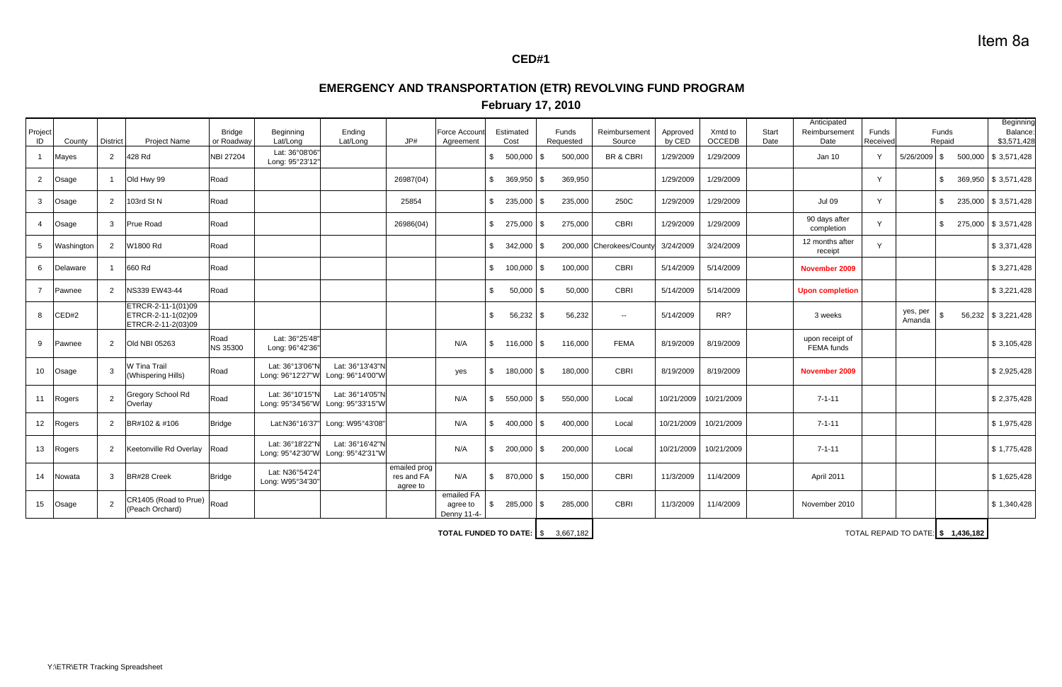### **CED#1**

# **EMERGENCY AND TRANSPORTATION (ETR) REVOLVING FUND PROGRAM**

| Project<br>ID   | County     | District       | <b>Project Name</b>                                            | <b>Bridge</b><br>or Roadway | Beginning<br>Lat/Long               | Ending<br>Lat/Long                  | $J$ P#                                 | Force Accoun<br>Agreement             |                | Estimated<br>Cost |      | Funds<br>Requested | Reimbursement<br>Source | Approved<br>by CED | Xmtd to<br><b>OCCEDB</b> | <b>Start</b><br>Date | Anticipated<br>Reimbursement<br>Date | Funds<br>Received |                                   | Funds<br>Repaid |         | Beginning<br>Balance:<br>\$3,571,428 |
|-----------------|------------|----------------|----------------------------------------------------------------|-----------------------------|-------------------------------------|-------------------------------------|----------------------------------------|---------------------------------------|----------------|-------------------|------|--------------------|-------------------------|--------------------|--------------------------|----------------------|--------------------------------------|-------------------|-----------------------------------|-----------------|---------|--------------------------------------|
|                 | Mayes      | 2              | 428 Rd                                                         | NBI 27204                   | Lat: 36°08'06"<br>Long: 95°23'12"   |                                     |                                        |                                       | \$             | 500,000           | l \$ | 500,000            | BR & CBRI               | 1/29/2009          | 1/29/2009                |                      | Jan 10                               | Y                 | $5/26/2009$ \$                    |                 | 500,000 | \$3,571,428                          |
| 2               | Osage      |                | Old Hwy 99                                                     | Road                        |                                     |                                     | 26987(04)                              |                                       | \$             | 369,950           | l \$ | 369,950            |                         | 1/29/2009          | 1/29/2009                |                      |                                      | Y                 |                                   |                 |         | 369,950 \$ 3,571,428                 |
| 3               | Osage      | 2              | 103rd St N                                                     | Road                        |                                     |                                     | 25854                                  |                                       | \$             | 235,000           | l \$ | 235,000            | 250C                    | 1/29/2009          | 1/29/2009                |                      | <b>Jul 09</b>                        | Y                 |                                   |                 |         | 235,000 \$ 3,571,428                 |
| 4               | Osage      | $\mathbf{3}$   | <b>Prue Road</b>                                               | Road                        |                                     |                                     | 26986(04)                              |                                       | \$             | 275,000 \$        |      | 275,000            | <b>CBRI</b>             | 1/29/2009          | 1/29/2009                |                      | 90 days after<br>completion          | Y                 |                                   |                 |         | 275,000 \$ 3,571,428                 |
| 5               | Washington | 2              | W1800 Rd                                                       | Road                        |                                     |                                     |                                        |                                       | \$             | $342,000$ \$      |      |                    | 200,000 Cherokees/Count | 3/24/2009          | 3/24/2009                |                      | 12 months after<br>receipt           | Y                 |                                   |                 |         | \$3,371,428                          |
| 6               | Delaware   |                | 660 Rd                                                         | Road                        |                                     |                                     |                                        |                                       | $\mathbb{S}$   | 100,000 \$        |      | 100,000            | CBRI                    | 5/14/2009          | 5/14/2009                |                      | November 2009                        |                   |                                   |                 |         | \$3,271,428                          |
|                 | Pawnee     | $\overline{2}$ | NS339 EW43-44                                                  | Road                        |                                     |                                     |                                        |                                       | $\mathbb{S}$   | $50,000$ \$       |      | 50,000             | <b>CBRI</b>             | 5/14/2009          | 5/14/2009                |                      | <b>Upon completion</b>               |                   |                                   |                 |         | \$3,221,428                          |
|                 | CED#2      |                | ETRCR-2-11-1(01)09<br>ETRCR-2-11-1(02)09<br>ETRCR-2-11-2(03)09 |                             |                                     |                                     |                                        |                                       | $\mathbb{S}$   | 56,232            | l \$ | 56,232             | $\sim$                  | 5/14/2009          | RR?                      |                      | 3 weeks                              |                   | yes, per<br>Amanda                |                 |         | 56,232 \$ 3,221,428                  |
| 9               | Pawnee     | $\overline{2}$ | Old NBI 05263                                                  | Road<br><b>NS 35300</b>     | Lat: 36°25'48"<br>Long: 96°42'36"   |                                     |                                        | N/A                                   | $\mathbb{S}$   | 116,000 \$        |      | 116,000            | <b>FEMA</b>             | 8/19/2009          | 8/19/2009                |                      | upon receipt of<br>FEMA funds        |                   |                                   |                 |         | \$3,105,428                          |
| 10              | Osage      | $\mathbf{3}$   | W Tina Trail<br><b>Whispering Hills)</b>                       | Road                        | Lat: 36°13'06"N<br>Long: 96°12'27"W | Lat: 36°13'43"N<br>Long: 96°14'00"W |                                        | yes                                   | \$             | 180,000 \$        |      | 180,000            | CBRI                    | 8/19/2009          | 8/19/2009                |                      | November 2009                        |                   |                                   |                 |         | \$2,925,428                          |
| 11              | Rogers     | $\overline{2}$ | Gregory School Rd<br>Overlay                                   | Road                        | Lat: 36°10'15"N<br>Long: 95°34'56"W | Lat: 36°14'05"N<br>Long: 95°33'15"W |                                        | N/A                                   | \$             | 550,000           | l \$ | 550,000            | Local                   | 10/21/2009         | 10/21/2009               |                      | $7 - 1 - 11$                         |                   |                                   |                 |         | \$2,375,428                          |
| 12 <sup>°</sup> | Rogers     | $\overline{2}$ | BR#102 & #106                                                  | <b>Bridge</b>               |                                     | Lat:N36°16'37" Long: W95°43'08"     |                                        | N/A                                   | \$             | 400,000 \$        |      | 400,000            | Local                   | 10/21/2009         | 10/21/2009               |                      | $7 - 1 - 11$                         |                   |                                   |                 |         | \$1,975,428                          |
| 13              | Rogers     | $\overline{2}$ | Keetonville Rd Overlay                                         | Road                        | Lat: 36°18'22"N<br>Long: 95°42'30"W | Lat: 36°16'42"N<br>Long: 95°42'31"W |                                        | N/A                                   | $\mathbb{S}$   | $200,000$ \$      |      | 200,000            | Local                   | 10/21/2009         | 10/21/2009               |                      | $7 - 1 - 11$                         |                   |                                   |                 |         | \$1,775,428                          |
| 14              | Nowata     | $\mathbf{3}$   | BR#28 Creek                                                    | <b>Bridge</b>               | Lat: N36°54'24"<br>Long: W95°34'30" |                                     | emailed prog<br>res and FA<br>agree to | N/A                                   | $\mathfrak{S}$ | 870,000 \$        |      | 150,000            | CBRI                    | 11/3/2009          | 11/4/2009                |                      | April 2011                           |                   |                                   |                 |         | \$1,625,428                          |
| 15              | Osage      | $\overline{2}$ | CR1405 (Road to Prue)<br>(Peach Orchard)                       | Road                        |                                     |                                     |                                        | emailed FA<br>agree to<br>Denny 11-4- | \$             | 285,000 \$        |      | 285,000            | CBRI                    | 11/3/2009          | 11/4/2009                |                      | November 2010                        |                   |                                   |                 |         | \$1,340,428                          |
|                 |            |                |                                                                |                             |                                     |                                     |                                        | <b>TOTAL FUNDED TO DATE: S</b>        |                |                   |      | 3,667,182          |                         |                    |                          |                      |                                      |                   | TOTAL REPAID TO DATE: \$1,436,182 |                 |         |                                      |

**TOTAL FUNDED TO DATE:**

### **February 17, 2010**

# Item 8a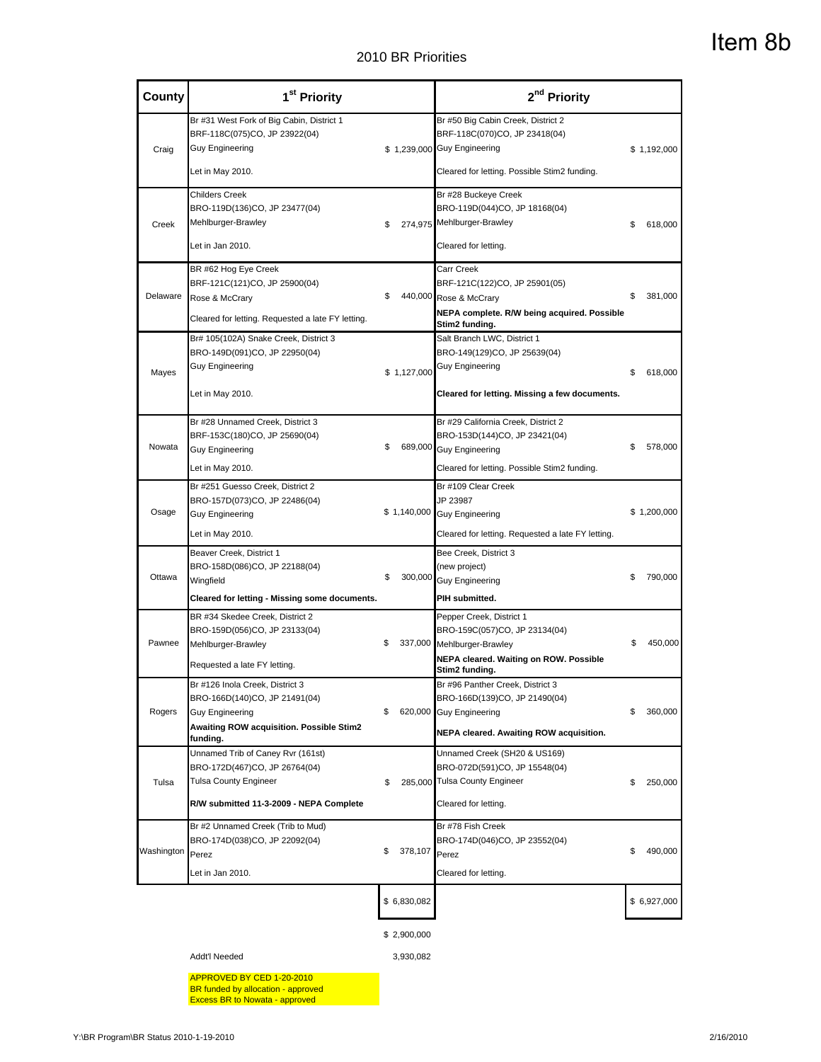| <b>County</b>    | 1 <sup>st</sup> Priority                                                                                                                           |                          | 2 <sup>nd</sup> Priority                                                                                                                            |               |
|------------------|----------------------------------------------------------------------------------------------------------------------------------------------------|--------------------------|-----------------------------------------------------------------------------------------------------------------------------------------------------|---------------|
| Craig            | Br #31 West Fork of Big Cabin, District 1<br>BRF-118C(075)CO, JP 23922(04)<br><b>Guy Engineering</b>                                               |                          | Br #50 Big Cabin Creek, District 2<br>BRF-118C(070)CO, JP 23418(04)<br>\$ 1,239,000 Guy Engineering                                                 | \$1,192,000   |
|                  | Let in May 2010.                                                                                                                                   |                          | Cleared for letting. Possible Stim2 funding.                                                                                                        |               |
| Creek            | <b>Childers Creek</b><br>BRO-119D(136)CO, JP 23477(04)<br>Mehlburger-Brawley<br>Let in Jan 2010.                                                   | \$                       | Br #28 Buckeye Creek<br>BRO-119D(044)CO, JP 18168(04)<br>274,975 Mehlburger-Brawley<br>Cleared for letting.                                         | 618,000<br>\$ |
| Delaware         | BR #62 Hog Eye Creek<br>BRF-121C(121)CO, JP 25900(04)<br>Rose & McCrary<br>Cleared for letting. Requested a late FY letting.                       | \$                       | Carr Creek<br>BRF-121C(122)CO, JP 25901(05)<br>440,000 Rose & McCrary<br>NEPA complete. R/W being acquired. Possible<br>Stim2 funding.              | 381,000<br>\$ |
| Mayes            | Br# 105(102A) Snake Creek, District 3<br>BRO-149D(091)CO, JP 22950(04)<br><b>Guy Engineering</b><br>Let in May 2010.                               | \$1,127,000              | Salt Branch LWC, District 1<br>BRO-149(129)CO, JP 25639(04)<br><b>Guy Engineering</b><br>Cleared for letting. Missing a few documents.              | 618,000<br>\$ |
| Nowata           | Br #28 Unnamed Creek, District 3<br>BRF-153C(180)CO, JP 25690(04)<br><b>Guy Engineering</b><br>Let in May 2010.                                    | S                        | Br #29 California Creek, District 2<br>BRO-153D(144)CO, JP 23421(04)<br>689,000 Guy Engineering<br>Cleared for letting. Possible Stim2 funding.     | 578,000<br>\$ |
| Osage            | Br #251 Guesso Creek, District 2<br>BRO-157D(073)CO, JP 22486(04)<br><b>Guy Engineering</b><br>Let in May 2010.                                    |                          | Br #109 Clear Creek<br>JP 23987<br>\$1,140,000 Guy Engineering<br>Cleared for letting. Requested a late FY letting.                                 | \$1,200,000   |
| Ottawa           | Beaver Creek, District 1<br>BRO-158D(086)CO, JP 22188(04)<br>Wingfield<br>Cleared for letting - Missing some documents.                            | \$<br>300,000            | Bee Creek, District 3<br>(new project)<br><b>Guy Engineering</b><br>PIH submitted.                                                                  | 790,000<br>\$ |
| Pawnee           | BR #34 Skedee Creek, District 2<br>BRO-159D(056)CO, JP 23133(04)<br>Mehlburger-Brawley<br>Requested a late FY letting.                             | \$                       | Pepper Creek, District 1<br>BRO-159C(057)CO, JP 23134(04)<br>337,000 Mehlburger-Brawley<br>NEPA cleared. Waiting on ROW. Possible<br>Stim2 funding. | 450,000<br>\$ |
| Rogers           | Br #126 Inola Creek, District 3<br>BRO-166D(140)CO, JP 21491(04)<br><b>Guy Engineering</b><br>Awaiting ROW acquisition. Possible Stim2<br>funding. | \$                       | Br #96 Panther Creek, District 3<br>BRO-166D(139)CO, JP 21490(04)<br>620,000 Guy Engineering<br>NEPA cleared. Awaiting ROW acquisition.             | 360,000<br>\$ |
| Tulsa            | Unnamed Trib of Caney Rvr (161st)<br>BRO-172D(467)CO, JP 26764(04)<br>Tulsa County Engineer<br>R/W submitted 11-3-2009 - NEPA Complete             | \$                       | Unnamed Creek (SH20 & US169)<br>BRO-072D(591)CO, JP 15548(04)<br>285,000 Tulsa County Engineer<br>Cleared for letting.                              | 250,000<br>\$ |
| Washington Perez | Br #2 Unnamed Creek (Trib to Mud)<br>BRO-174D(038)CO, JP 22092(04)<br>Let in Jan 2010.                                                             | 378,107<br>\$            | Br #78 Fish Creek<br>BRO-174D(046)CO, JP 23552(04)<br>Perez<br>Cleared for letting.                                                                 | 490,000<br>\$ |
|                  |                                                                                                                                                    | \$6,830,082              |                                                                                                                                                     | \$6,927,000   |
|                  | Addt'l Needed                                                                                                                                      | \$2,900,000<br>3,930,082 |                                                                                                                                                     |               |
|                  | APPROVED BY CED 1-20-2010<br>BR funded by allocation - approved<br><b>Excess BR to Nowata - approved</b>                                           |                          |                                                                                                                                                     |               |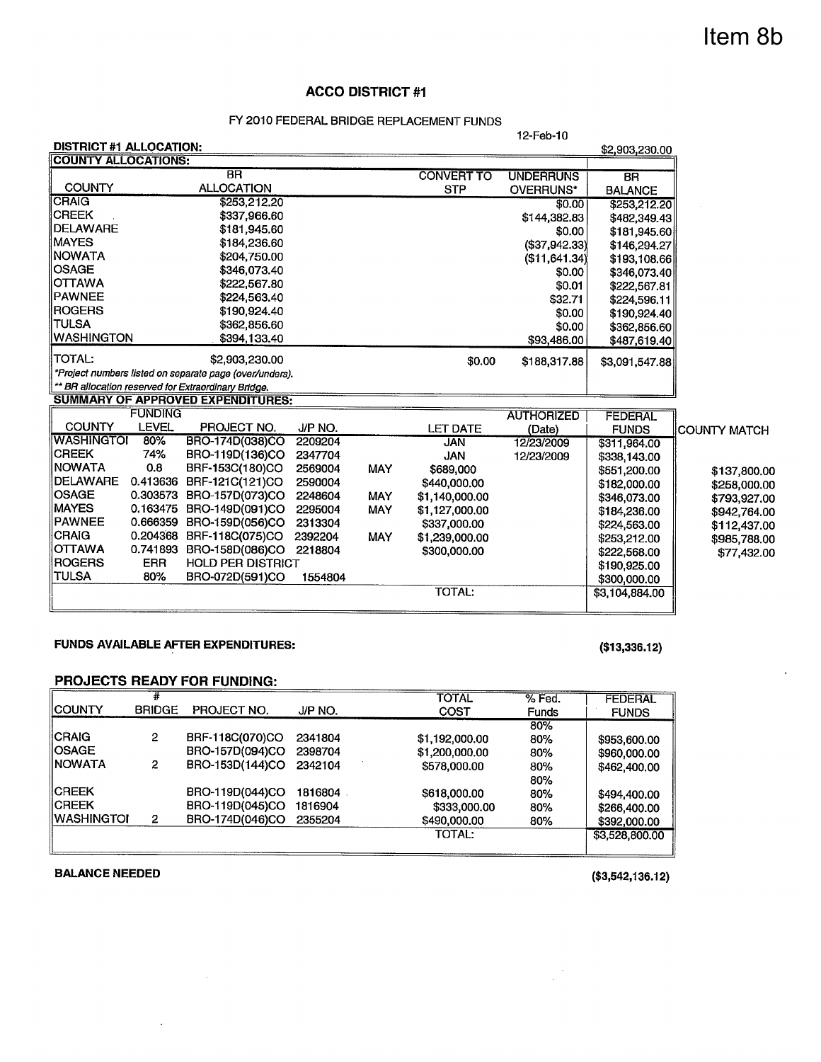# Item 8b

#### **ACCO DISTRICT #1**

#### FY 2010 FEDERAL BRIDGE REPLACEMENT FUNDS

|                                |                |                                                         |         |            |                   | 12-Feb-10         |                |                     |
|--------------------------------|----------------|---------------------------------------------------------|---------|------------|-------------------|-------------------|----------------|---------------------|
| <b>DISTRICT #1 ALLOCATION:</b> |                |                                                         |         |            |                   |                   | \$2,903,230.00 |                     |
| <b>COUNTY ALLOCATIONS:</b>     |                |                                                         |         |            |                   |                   |                |                     |
|                                |                | <b>BR</b>                                               |         |            | <b>CONVERT TO</b> | <b>UNDERRUNS</b>  | <b>BR</b>      |                     |
| <b>COUNTY</b>                  |                | <b>ALLOCATION</b>                                       |         |            | <b>STP</b>        | OVERRUNS*         | <b>BALANCE</b> |                     |
| <b>CRAIG</b>                   |                | \$253,212.20                                            |         |            |                   | \$0.00            | \$253,212.20   |                     |
| <b>CREEK</b>                   |                | \$337,966.60                                            |         |            |                   | \$144,382.83      | \$482,349.43   |                     |
| <b>IDELAWARE</b>               |                | \$181,945,60                                            |         |            |                   | \$0.00            | \$181,945.60   |                     |
| <b>MAYES</b>                   |                | \$184,236.60                                            |         |            |                   | (\$37,942.33)     | \$146,294.27   |                     |
| <b>NOWATA</b>                  |                | \$204,750.00                                            |         |            |                   | (\$11,641.34)     | \$193,108.66   |                     |
| <b>OSAGE</b>                   |                | \$346,073.40                                            |         |            |                   | \$0.00            | \$346,073.40   |                     |
| <b>OTTAWA</b>                  |                | \$222,567.80                                            |         |            |                   | \$0.01            | \$222,567.81   |                     |
| <b>PAWNEE</b>                  |                | \$224,563.40                                            |         |            |                   | \$32.71           | \$224,596.11   |                     |
| <b>ROGERS</b>                  |                | \$190,924.40                                            |         |            |                   | \$0.00            | \$190,924.40   |                     |
| <b>TULSA</b>                   |                | \$362,856.60                                            |         |            |                   | \$0.00            | \$362,856.60   |                     |
| <b>WASHINGTON</b>              |                | \$394,133.40                                            |         |            |                   | \$93,486.00       | \$487,619.40   |                     |
| <b>TOTAL:</b>                  |                | \$2,903,230.00                                          |         |            | \$0.00            | \$188,317.88      | \$3,091,547.88 |                     |
|                                |                | *Project numbers listed on separate page (over/unders). |         |            |                   |                   |                |                     |
|                                |                | ** BR allocation reserved for Extraordinary Bridge.     |         |            |                   |                   |                |                     |
|                                |                | <b>SUMMARY OF APPROVED EXPENDITURES:</b>                |         |            |                   |                   |                |                     |
|                                | <b>FUNDING</b> |                                                         |         |            |                   | <b>AUTHORIZED</b> | <b>FEDERAL</b> |                     |
| <b>COUNTY</b>                  | <b>LEVEL</b>   | PROJECT NO.                                             | J/P NO. |            | <b>LET DATE</b>   | (Date)            | <b>FUNDS</b>   | <b>COUNTY MATCH</b> |
| <b>WASHINGTOI</b>              | 80%            | BRO-174D(038)CO                                         | 2209204 |            | <b>JAN</b>        | 12/23/2009        | \$311,964.00   |                     |
| <b>CREEK</b>                   | 74%            | BRO-119D(136)CO                                         | 2347704 |            | <b>JAN</b>        | 12/23/2009        | \$338,143.00   |                     |
| <b>NOWATA</b>                  | 0.8            | BRF-153C(180)CO                                         | 2569004 | <b>MAY</b> | \$689,000         |                   | \$551,200.00   | \$137,800.00        |
| <b>DELAWARE</b>                | 0.413636       | BRF-121C(121)CO                                         | 2590004 |            | \$440,000.00      |                   | \$182,000.00   | \$258,000.00        |
| <b>OSAGE</b>                   | 0.303573       | BRO-157D(073)CO                                         | 2248604 | <b>MAY</b> | \$1,140,000.00    |                   | \$346,073.00   | \$793,927.00        |
| <b>MAYES</b>                   | 0.163475       | BRO-149D(091)CO                                         | 2295004 | <b>MAY</b> | \$1,127,000.00    |                   | \$184,236.00   | \$942,764.00        |
| <b>PAWNEE</b>                  | 0.666359       | BRO-159D(056)CO                                         | 2313304 |            | \$337,000.00      |                   | \$224,563.00   | \$112,437.00        |
| <b>CRAIG</b>                   | 0.204368       | BRF-118C(075)CO                                         | 2392204 | <b>MAY</b> | \$1,239,000.00    |                   | \$253,212.00   | \$985,788.00        |
| <b>OTTAWA</b>                  | 0.741893       | BRO-158D(086)CO                                         | 2218804 |            | \$300,000.00      |                   | \$222,568.00   | \$77,432.00         |
| <b>ROGERS</b>                  | <b>ERR</b>     | <b>HOLD PER DISTRICT</b>                                |         |            |                   |                   | \$190,925.00   |                     |
| <b>TULSA</b>                   | 80%            | BRO-072D(591)CO                                         | 1554804 |            |                   |                   | \$300,000.00   |                     |
|                                |                |                                                         |         |            | <b>TOTAL:</b>     |                   | \$3,104,884.00 |                     |
|                                |                |                                                         |         |            |                   |                   |                |                     |

#### **FUNDS AVAILABLE AFTER EXPENDITURES:**

 $\bar{\lambda}$ 

#### $($13,336.12)$

#### **PROJECTS READY FOR FUNDING:**

|                 |               |                 |         | <b>TOTAL</b>   | $%$ Fed.     | <b>FEDERAL</b> |
|-----------------|---------------|-----------------|---------|----------------|--------------|----------------|
| <b>IICOUNTY</b> | <b>BRIDGE</b> | PROJECT NO.     | J/P NO. | COST           | <b>Funds</b> | <b>FUNDS</b>   |
|                 |               |                 |         |                | 80%          |                |
| <b>CRAIG</b>    | 2             | BRF-118C(070)CO | 2341804 | \$1,192,000.00 | 80%          | \$953,600.00   |
| <b>IOSAGE</b>   |               | BRO-157D(094)CO | 2398704 | \$1,200,000,00 | 80%          | \$960,000.00   |
| IINOWATA        | 2             | BRO-153D(144)CO | 2342104 | \$578,000.00   | 80%          | \$462,400.00   |
|                 |               |                 |         |                | 80%          |                |
| <b>IICREEK</b>  |               | BRO-119D(044)CO | 1816804 | \$618,000.00   | 80%          | \$494,400.00   |
| <b>IICREEK</b>  |               | BRO-119D(045)CO | 1816904 | \$333,000.00   | 80%          | \$266,400.00   |
| IWASHINGTOI     | 2             | BRO-174D(046)CO | 2355204 | \$490,000.00   | 80%          | \$392,000.00   |
|                 |               |                 |         | <b>TOTAL:</b>  |              | \$3,528,800.00 |
|                 |               |                 |         |                |              |                |

#### **BALANCE NEEDED**

 $($3,542,136.12)$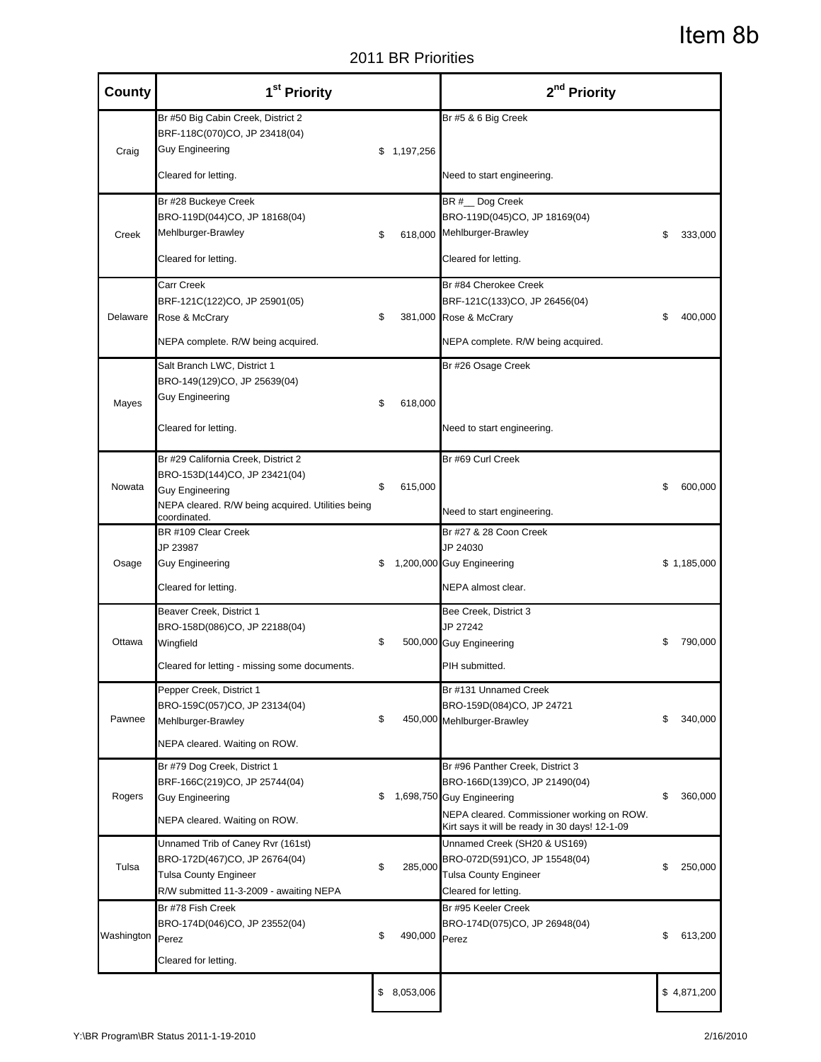2011 BR Priorities

| County     | 1 <sup>st</sup> Priority                                                                                                                                            |               | 2 <sup>nd</sup> Priority                                                                                                                                                                                                                                                                                                                                                                                                                                                                                                                                                                                                                                                                                                                                                                                                                                                                                                                                                                                                                                                                                                                                                          |  |         |
|------------|---------------------------------------------------------------------------------------------------------------------------------------------------------------------|---------------|-----------------------------------------------------------------------------------------------------------------------------------------------------------------------------------------------------------------------------------------------------------------------------------------------------------------------------------------------------------------------------------------------------------------------------------------------------------------------------------------------------------------------------------------------------------------------------------------------------------------------------------------------------------------------------------------------------------------------------------------------------------------------------------------------------------------------------------------------------------------------------------------------------------------------------------------------------------------------------------------------------------------------------------------------------------------------------------------------------------------------------------------------------------------------------------|--|---------|
| Craig      | Br #50 Big Cabin Creek, District 2<br>BRF-118C(070)CO, JP 23418(04)<br><b>Guy Engineering</b>                                                                       | \$1,197,256   | Br #5 & 6 Big Creek                                                                                                                                                                                                                                                                                                                                                                                                                                                                                                                                                                                                                                                                                                                                                                                                                                                                                                                                                                                                                                                                                                                                                               |  |         |
|            | Cleared for letting.                                                                                                                                                |               | Item 8b<br>2011 BR Priorities<br>Need to start engineering.<br>BR # Dog Creek<br>BRO-119D(045)CO, JP 18169(04)<br>618,000 Mehlburger-Brawley<br>S<br>Cleared for letting.<br>Br #84 Cherokee Creek<br>BRF-121C(133)CO, JP 26456(04)<br>381,000 Rose & McCrary<br>\$<br>NEPA complete. R/W being acquired.<br>Br #26 Osage Creek<br>Need to start engineering.<br>Br #69 Curl Creek<br>\$<br>Need to start engineering.<br>Br #27 & 28 Coon Creek<br>JP 24030<br>1,200,000 Guy Engineering<br>\$1,185,000<br>NEPA almost clear.<br>Bee Creek, District 3<br>JP 27242<br>\$<br>500,000 Guy Engineering<br>PIH submitted.<br>Br #131 Unnamed Creek<br>BRO-159D(084)CO, JP 24721<br>\$<br>450,000 Mehlburger-Brawley<br>Br #96 Panther Creek, District 3<br>BRO-166D(139)CO, JP 21490(04)<br>1,698,750 Guy Engineering<br>\$<br>NEPA cleared. Commissioner working on ROW.<br>Kirt says it will be ready in 30 days! 12-1-09<br>Unnamed Creek (SH20 & US169)<br>BRO-072D(591)CO, JP 15548(04)<br>\$<br><b>Tulsa County Engineer</b><br>Cleared for letting.<br>Br #95 Keeler Creek<br>BRO-174D(075)CO, JP 26948(04)<br>490,000 Perez<br>\$<br>\$8,053,006<br>\$4,871,200<br>2/16/2010 |  |         |
| Creek      | Br #28 Buckeye Creek<br>BRO-119D(044)CO, JP 18168(04)<br>Mehlburger-Brawley                                                                                         | \$            |                                                                                                                                                                                                                                                                                                                                                                                                                                                                                                                                                                                                                                                                                                                                                                                                                                                                                                                                                                                                                                                                                                                                                                                   |  | 333,000 |
|            | Cleared for letting.                                                                                                                                                |               |                                                                                                                                                                                                                                                                                                                                                                                                                                                                                                                                                                                                                                                                                                                                                                                                                                                                                                                                                                                                                                                                                                                                                                                   |  |         |
| Delaware   | Carr Creek<br>BRF-121C(122)CO, JP 25901(05)<br>Rose & McCrary                                                                                                       | \$            |                                                                                                                                                                                                                                                                                                                                                                                                                                                                                                                                                                                                                                                                                                                                                                                                                                                                                                                                                                                                                                                                                                                                                                                   |  | 400,000 |
|            | NEPA complete. R/W being acquired.<br>Salt Branch LWC, District 1                                                                                                   |               |                                                                                                                                                                                                                                                                                                                                                                                                                                                                                                                                                                                                                                                                                                                                                                                                                                                                                                                                                                                                                                                                                                                                                                                   |  |         |
| Mayes      | BRO-149(129)CO, JP 25639(04)<br><b>Guy Engineering</b><br>Cleared for letting.                                                                                      | \$<br>618,000 |                                                                                                                                                                                                                                                                                                                                                                                                                                                                                                                                                                                                                                                                                                                                                                                                                                                                                                                                                                                                                                                                                                                                                                                   |  |         |
|            |                                                                                                                                                                     |               |                                                                                                                                                                                                                                                                                                                                                                                                                                                                                                                                                                                                                                                                                                                                                                                                                                                                                                                                                                                                                                                                                                                                                                                   |  |         |
| Nowata     | Br #29 California Creek, District 2<br>BRO-153D(144)CO, JP 23421(04)<br><b>Guy Engineering</b><br>NEPA cleared. R/W being acquired. Utilities being<br>coordinated. | \$<br>615,000 |                                                                                                                                                                                                                                                                                                                                                                                                                                                                                                                                                                                                                                                                                                                                                                                                                                                                                                                                                                                                                                                                                                                                                                                   |  | 600,000 |
| Osage      | BR #109 Clear Creek<br>JP 23987<br><b>Guy Engineering</b><br>Cleared for letting.                                                                                   | \$            |                                                                                                                                                                                                                                                                                                                                                                                                                                                                                                                                                                                                                                                                                                                                                                                                                                                                                                                                                                                                                                                                                                                                                                                   |  |         |
| Ottawa     | Beaver Creek, District 1<br>BRO-158D(086)CO, JP 22188(04)<br>Wingfield<br>Cleared for letting - missing some documents.                                             | \$            |                                                                                                                                                                                                                                                                                                                                                                                                                                                                                                                                                                                                                                                                                                                                                                                                                                                                                                                                                                                                                                                                                                                                                                                   |  | 790,000 |
| Pawnee     | Pepper Creek, District 1<br>BRO-159C(057)CO, JP 23134(04)<br>Mehlburger-Brawley<br>NEPA cleared. Waiting on ROW.                                                    | \$            |                                                                                                                                                                                                                                                                                                                                                                                                                                                                                                                                                                                                                                                                                                                                                                                                                                                                                                                                                                                                                                                                                                                                                                                   |  | 340,000 |
| Rogers     | Br #79 Dog Creek, District 1<br>BRF-166C(219)CO, JP 25744(04)<br><b>Guy Engineering</b><br>NEPA cleared. Waiting on ROW.                                            | \$            |                                                                                                                                                                                                                                                                                                                                                                                                                                                                                                                                                                                                                                                                                                                                                                                                                                                                                                                                                                                                                                                                                                                                                                                   |  | 360,000 |
| Tulsa      | Unnamed Trib of Caney Rvr (161st)<br>BRO-172D(467)CO, JP 26764(04)<br><b>Tulsa County Engineer</b><br>R/W submitted 11-3-2009 - awaiting NEPA                       | \$<br>285,000 |                                                                                                                                                                                                                                                                                                                                                                                                                                                                                                                                                                                                                                                                                                                                                                                                                                                                                                                                                                                                                                                                                                                                                                                   |  | 250,000 |
| Washington | Br #78 Fish Creek<br>BRO-174D(046)CO, JP 23552(04)<br>Perez<br>Cleared for letting.                                                                                 | \$            |                                                                                                                                                                                                                                                                                                                                                                                                                                                                                                                                                                                                                                                                                                                                                                                                                                                                                                                                                                                                                                                                                                                                                                                   |  | 613,200 |
|            |                                                                                                                                                                     |               |                                                                                                                                                                                                                                                                                                                                                                                                                                                                                                                                                                                                                                                                                                                                                                                                                                                                                                                                                                                                                                                                                                                                                                                   |  |         |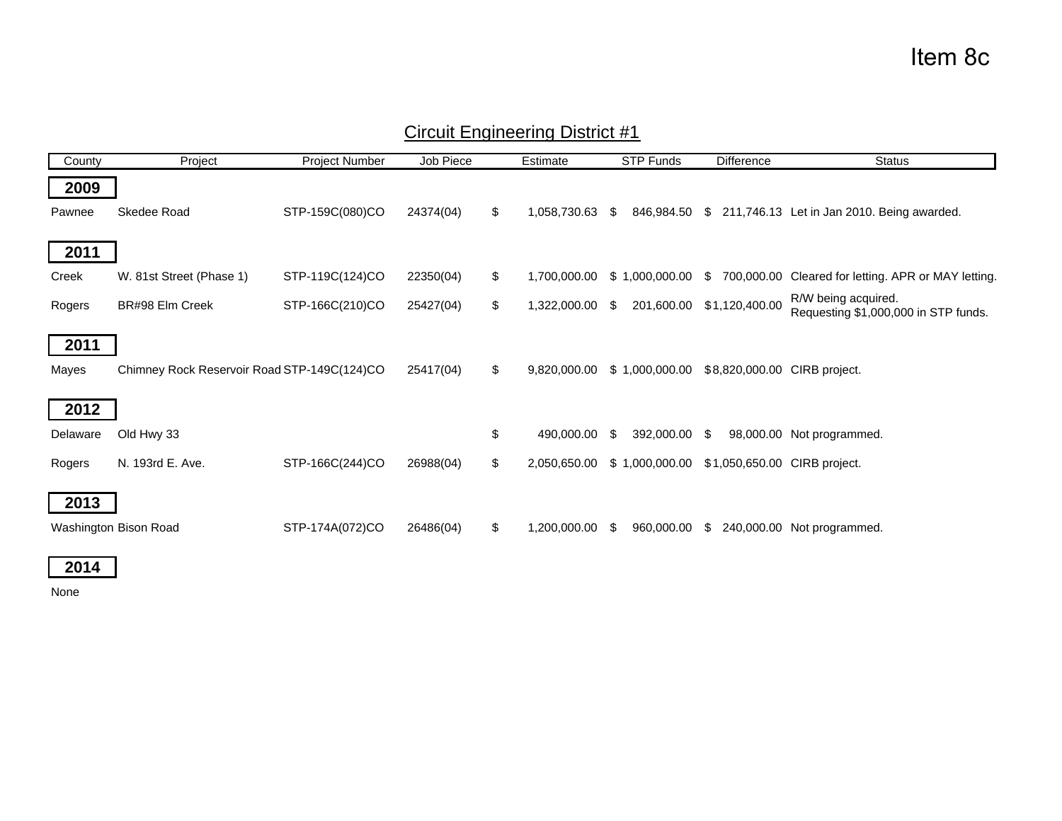| County   | Project                                     | Project Number  | Job Piece | Estimate           | <b>STP Funds</b>      | <b>Difference</b>            | <b>Status</b>                                               |
|----------|---------------------------------------------|-----------------|-----------|--------------------|-----------------------|------------------------------|-------------------------------------------------------------|
| 2009     |                                             |                 |           |                    |                       |                              |                                                             |
| Pawnee   | Skedee Road                                 | STP-159C(080)CO | 24374(04) | \$<br>1,058,730.63 | 846,984.50<br>-SS     | \$                           | 211,746.13 Let in Jan 2010. Being awarded.                  |
| 2011     |                                             |                 |           |                    |                       |                              |                                                             |
|          |                                             |                 |           |                    |                       |                              |                                                             |
| Creek    | W. 81st Street (Phase 1)                    | STP-119C(124)CO | 22350(04) | \$<br>1,700,000.00 | \$1,000,000.00        | 700,000.00<br>S.             | Cleared for letting. APR or MAY letting.                    |
| Rogers   | BR#98 Elm Creek                             | STP-166C(210)CO | 25427(04) | \$<br>1,322,000.00 | 201,600.00<br>\$      | \$1,120,400.00               | R/W being acquired.<br>Requesting \$1,000,000 in STP funds. |
| 2011     |                                             |                 |           |                    |                       |                              |                                                             |
| Mayes    | Chimney Rock Reservoir Road STP-149C(124)CO |                 | 25417(04) | \$<br>9,820,000.00 | \$1,000,000.00        | \$8,820,000.00 CIRB project. |                                                             |
| 2012     |                                             |                 |           |                    |                       |                              |                                                             |
| Delaware | Old Hwy 33                                  |                 |           | \$<br>490.000.00   | 392,000.00 \$<br>- \$ |                              | 98,000.00 Not programmed.                                   |
| Rogers   | N. 193rd E. Ave.                            | STP-166C(244)CO | 26988(04) | \$<br>2,050,650.00 | \$1,000,000.00        | \$1,050,650.00 CIRB project. |                                                             |
| 2013     |                                             |                 |           |                    |                       |                              |                                                             |
|          | Washington Bison Road                       | STP-174A(072)CO | 26486(04) | \$<br>1,200,000.00 | 960,000.00<br>- \$    | -S                           | 240,000.00 Not programmed.                                  |

### Circuit Engineering District #1

**2014**

None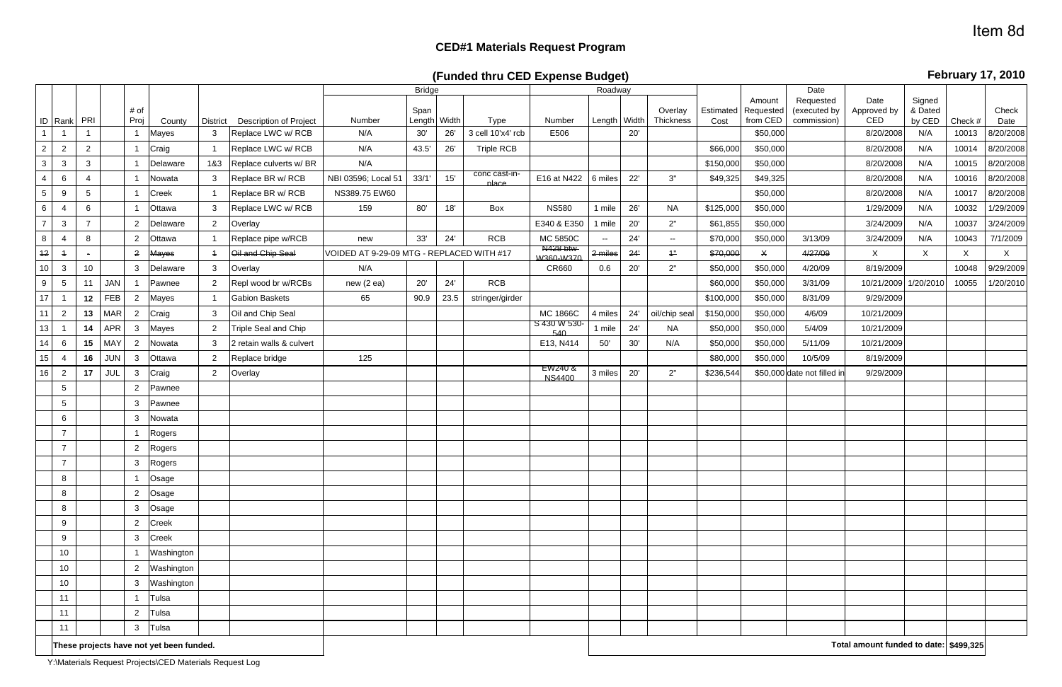# **CED#1 Materials Request Program**

**(Funded thru CED Expense Budget)**

|                 |                 |                 |            | # of           |                                          |                 |                          |                                           | <b>Bridge</b><br>Span |      |                        |                                         | Roadway      |     | Overlay       | Estimated | Amount<br>Requested | Date<br>Requested<br>(executed by | Date<br>Approved by                    | Signed<br>& Dated |              | Check     |
|-----------------|-----------------|-----------------|------------|----------------|------------------------------------------|-----------------|--------------------------|-------------------------------------------|-----------------------|------|------------------------|-----------------------------------------|--------------|-----|---------------|-----------|---------------------|-----------------------------------|----------------------------------------|-------------------|--------------|-----------|
|                 | ID Rank PRI     |                 |            | Proj           | County                                   | <b>District</b> | Description of Project   | Number                                    | Length Width          |      | Type                   | Number                                  | Length Width |     | Thickness     | Cost      | from CED            | commission)                       | CED                                    | by CED            | Check #      | Date      |
|                 |                 |                 |            |                | Mayes                                    | 3               | Replace LWC w/ RCB       | N/A                                       | 30'                   | 26'  | 3 cell 10'x4' rcb      | E506                                    |              | 20' |               |           | \$50,000            |                                   | 8/20/2008                              | N/A               | 10013        | 8/20/2008 |
| $\overline{2}$  | $\overline{2}$  | $\overline{2}$  |            |                | Craig                                    |                 | Replace LWC w/ RCB       | N/A                                       | 43.5'                 | 26'  | <b>Triple RCB</b>      |                                         |              |     |               | \$66,000  | \$50,000            |                                   | 8/20/2008                              | N/A               | 10014        | 8/20/2008 |
| $\mathbf{3}$    | 3               | $\mathbf{3}$    |            |                | Delaware                                 | 1&3             | Replace culverts w/ BR   | N/A                                       |                       |      |                        |                                         |              |     |               | \$150,000 | \$50,000            |                                   | 8/20/2008                              | N/A               | 10015        | 8/20/2008 |
| 4               | 6               | 4               |            |                | Nowata                                   | 3               | Replace BR w/ RCB        | NBI 03596; Local 51                       | 33/1'                 | 15'  | conc cast-in-<br>place | E16 at N422                             | 6 miles      | 22' | 3"            | \$49,325  | \$49,325            |                                   | 8/20/2008                              | N/A               | 10016        | 8/20/2008 |
| 5 <sub>5</sub>  | 9               | $5\phantom{.0}$ |            |                | Creek                                    |                 | Replace BR w/ RCB        | NS389.75 EW60                             |                       |      |                        |                                         |              |     |               |           | \$50,000            |                                   | 8/20/2008                              | N/A               | 10017        | 8/20/2008 |
| 6               |                 | 6               |            |                | Ottawa                                   | 3               | Replace LWC w/ RCB       | 159                                       | 80'                   | 18'  | Box                    | <b>NS580</b>                            | 1 mile       | 26' | <b>NA</b>     | \$125,000 | \$50,000            |                                   | 1/29/2009                              | N/A               | 10032        | 1/29/2009 |
| $\overline{7}$  | 3               | $\overline{7}$  |            | $\overline{2}$ | Delaware                                 | $\overline{2}$  | Overlay                  |                                           |                       |      |                        | E340 & E350                             | mile         | 20' | 2"            | \$61,855  | \$50,000            |                                   | 3/24/2009                              | N/A               | 10037        | 3/24/2009 |
| 8               | $\overline{4}$  | 8               |            | $\overline{2}$ | Ottawa                                   | $\overline{1}$  | Replace pipe w/RCB       | new                                       | 33'                   | 24'  | <b>RCB</b>             | <b>MC 5850C</b>                         | $--$         | 24' | $\sim$        | \$70,000  | \$50,000            | 3/13/09                           | 3/24/2009                              | N/A               | 10043        | 7/1/2009  |
| 12              | $\overline{1}$  |                 |            | $\overline{2}$ | Mayes                                    | $\overline{1}$  | Oil and Chip Seal        | VOIDED AT 9-29-09 MTG - REPLACED WITH #17 |                       |      |                        | <del>N428 btw</del><br><b>W360-W370</b> | 2 miles      | 24' | 1"            | \$70,000  | $\mathsf{X}$        | 4/27/09                           | X                                      | X                 | $\mathsf{X}$ | X         |
| 10 <sub>1</sub> | $\mathbf{3}$    | 10              |            | $\mathbf{3}$   | Delaware                                 | $\mathbf{3}$    | Overlay                  | N/A                                       |                       |      |                        | CR660                                   | 0.6          | 20' | 2"            | \$50,000  | \$50,000            | 4/20/09                           | 8/19/2009                              |                   | 10048        | 9/29/2009 |
| 9               | $\sqrt{5}$      | 11              | <b>JAN</b> |                | Pawnee                                   | 2               | Repl wood br w/RCBs      | new(2 ea)                                 | 20'                   | 24'  | <b>RCB</b>             |                                         |              |     |               | \$60,000  | \$50,000            | 3/31/09                           | 10/21/2009                             | 1/20/2010         | 10055        | 1/20/2010 |
| 17              |                 | 12              | FEB        | $\overline{2}$ | Mayes                                    | $\overline{1}$  | <b>Gabion Baskets</b>    | 65                                        | 90.9                  | 23.5 | stringer/girder        |                                         |              |     |               | \$100,000 | \$50,000            | 8/31/09                           | 9/29/2009                              |                   |              |           |
| 11              | $\overline{2}$  | 13              | <b>MAR</b> | $\overline{2}$ | Craig                                    | 3               | Oil and Chip Seal        |                                           |                       |      |                        | <b>MC 1866C</b>                         | 4 miles      | 24' | oil/chip seal | \$150,000 | \$50,000            | 4/6/09                            | 10/21/2009                             |                   |              |           |
| 13              |                 | 14              | <b>APR</b> | $\mathbf{3}$   | Mayes                                    | $\overline{2}$  | Triple Seal and Chip     |                                           |                       |      |                        | S 430 W 530-<br>540                     | 1 mile       | 24' | <b>NA</b>     | \$50,000  | \$50,000            | 5/4/09                            | 10/21/2009                             |                   |              |           |
| 14              | 6               | 15              | <b>MAY</b> | $\overline{2}$ | Nowata                                   | 3               | 2 retain walls & culvert |                                           |                       |      |                        | E13, N414                               | 50'          | 30' | N/A           | \$50,000  | \$50,000            | 5/11/09                           | 10/21/2009                             |                   |              |           |
| 15              | 4               | 16              | <b>JUN</b> | $\mathbf{3}$   | Ottawa                                   | $\overline{2}$  | Replace bridge           | 125                                       |                       |      |                        |                                         |              |     |               | \$80,000  | \$50,000            | 10/5/09                           | 8/19/2009                              |                   |              |           |
| 16              | $\overline{2}$  | 17              | <b>JUL</b> | $\mathbf{3}$   | Craig                                    | $\overline{2}$  | Overlay                  |                                           |                       |      |                        | EW240 &<br>NS4400                       | 3 miles      | 20' | 2"            | \$236,544 |                     | \$50,000 date not filled in       | 9/29/2009                              |                   |              |           |
|                 | $5\phantom{.0}$ |                 |            | $\overline{2}$ | Pawnee                                   |                 |                          |                                           |                       |      |                        |                                         |              |     |               |           |                     |                                   |                                        |                   |              |           |
|                 | $5\phantom{.0}$ |                 |            | 3              | Pawnee                                   |                 |                          |                                           |                       |      |                        |                                         |              |     |               |           |                     |                                   |                                        |                   |              |           |
|                 | 6               |                 |            | $\mathbf{3}$   | Nowata                                   |                 |                          |                                           |                       |      |                        |                                         |              |     |               |           |                     |                                   |                                        |                   |              |           |
|                 | $\overline{7}$  |                 |            |                | Rogers                                   |                 |                          |                                           |                       |      |                        |                                         |              |     |               |           |                     |                                   |                                        |                   |              |           |
|                 | $\overline{7}$  |                 |            | $\overline{2}$ | Rogers                                   |                 |                          |                                           |                       |      |                        |                                         |              |     |               |           |                     |                                   |                                        |                   |              |           |
|                 |                 |                 |            | 3              | Rogers                                   |                 |                          |                                           |                       |      |                        |                                         |              |     |               |           |                     |                                   |                                        |                   |              |           |
|                 | 8               |                 |            |                | Osage                                    |                 |                          |                                           |                       |      |                        |                                         |              |     |               |           |                     |                                   |                                        |                   |              |           |
|                 | 8               |                 |            | $\overline{2}$ | Osage                                    |                 |                          |                                           |                       |      |                        |                                         |              |     |               |           |                     |                                   |                                        |                   |              |           |
|                 | 8               |                 |            | $\mathbf{3}$   | Osage                                    |                 |                          |                                           |                       |      |                        |                                         |              |     |               |           |                     |                                   |                                        |                   |              |           |
|                 | 9               |                 |            | $\overline{2}$ | Creek                                    |                 |                          |                                           |                       |      |                        |                                         |              |     |               |           |                     |                                   |                                        |                   |              |           |
|                 | 9               |                 |            | $\mathbf{3}$   | Creek                                    |                 |                          |                                           |                       |      |                        |                                         |              |     |               |           |                     |                                   |                                        |                   |              |           |
|                 | $10$            |                 |            |                | Washington                               |                 |                          |                                           |                       |      |                        |                                         |              |     |               |           |                     |                                   |                                        |                   |              |           |
|                 | 10              |                 |            | $\overline{2}$ | Washington                               |                 |                          |                                           |                       |      |                        |                                         |              |     |               |           |                     |                                   |                                        |                   |              |           |
|                 | 10              |                 |            | $\mathbf{3}$   | Washington                               |                 |                          |                                           |                       |      |                        |                                         |              |     |               |           |                     |                                   |                                        |                   |              |           |
|                 | 11              |                 |            |                | Tulsa                                    |                 |                          |                                           |                       |      |                        |                                         |              |     |               |           |                     |                                   |                                        |                   |              |           |
|                 | 11              |                 |            | $\overline{2}$ | Tulsa                                    |                 |                          |                                           |                       |      |                        |                                         |              |     |               |           |                     |                                   |                                        |                   |              |           |
|                 | 11              |                 |            | $\mathbf{3}$   | Tulsa                                    |                 |                          |                                           |                       |      |                        |                                         |              |     |               |           |                     |                                   |                                        |                   |              |           |
|                 |                 |                 |            |                | These projects have not yet been funded. |                 |                          |                                           |                       |      |                        |                                         |              |     |               |           |                     |                                   | Total amount funded to date: \$499,325 |                   |              |           |

**February 17, 2010**

Y:\Materials Request Projects\CED Materials Request Log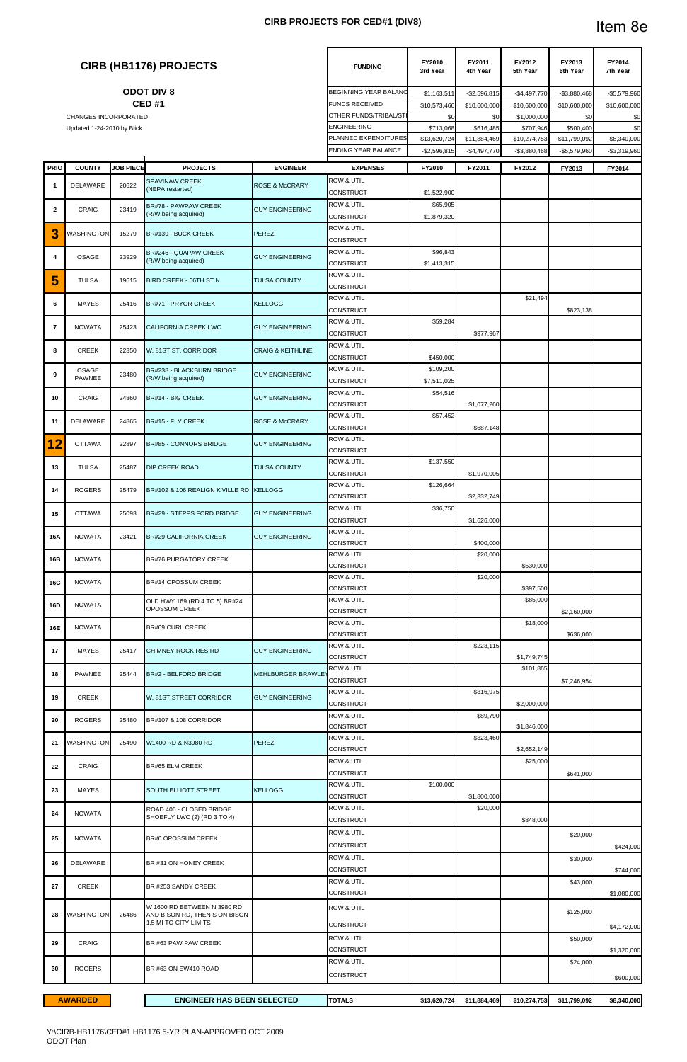### **CIRB PROJECTS FOR CED#1 (DIV8)**

|                |                             |                  | <b>CIRB (HB1176) PROJECTS</b>                                                         |                              | <b>FUNDING</b>                            | FY2010<br>3rd Year        | FY2011<br>4th Year        | FY2012<br>5th Year        | FY2013<br>6th Year        | FY2014<br>7th Year |
|----------------|-----------------------------|------------------|---------------------------------------------------------------------------------------|------------------------------|-------------------------------------------|---------------------------|---------------------------|---------------------------|---------------------------|--------------------|
|                |                             |                  | <b>ODOT DIV 8</b>                                                                     |                              | <b>BEGINNING YEAR BALANO</b>              | \$1,163,511               | $-$2,596,815$             | $-$4,497,770$             | $-$3,880,468$             | $-$5,579,960$      |
|                |                             |                  | <b>CED#1</b>                                                                          |                              | <b>FUNDS RECEIVED</b>                     | \$10,573,466              | \$10,600,000              | \$10,600,000              | \$10,600,000              | \$10,600,000       |
|                | <b>CHANGES INCORPORATED</b> |                  |                                                                                       |                              | OTHER FUNDS/TRIBAL/STI<br>ENGINEERING     | \$0                       | \$0                       | \$1,000,000               | \$0                       | \$0                |
|                | Updated 1-24-2010 by Blick  |                  |                                                                                       |                              | <b>PLANNED EXPENDITURES</b>               | \$713,068<br>\$13,620,724 | \$616,485<br>\$11,884,469 | \$707,946<br>\$10,274,753 | \$500,400<br>\$11,799,092 | \$0<br>\$8,340,000 |
|                |                             |                  |                                                                                       |                              | ENDING YEAR BALANCE                       | $-$2,596,815$             | $-$4,497,770$             | $-$3,880,468$             | $-$5,579,960$             | $-$3,319,960$      |
| <b>PRIO</b>    | <b>COUNTY</b>               | <b>JOB PIECE</b> | <b>PROJECTS</b>                                                                       | <b>ENGINEER</b>              | <b>EXPENSES</b>                           | FY2010                    | FY2011                    | FY2012                    | FY2013                    | FY2014             |
|                |                             |                  | <b>SPAVINAW CREEK</b>                                                                 |                              | <b>ROW &amp; UTIL</b>                     |                           |                           |                           |                           |                    |
| -1             | <b>DELAWARE</b>             | 20622            | (NEPA restarted)                                                                      | <b>ROSE &amp; McCRARY</b>    | <b>CONSTRUCT</b>                          | \$1,522,900               |                           |                           |                           |                    |
| $\overline{2}$ | CRAIG                       | 23419            | BR#78 - PAWPAW CREEK                                                                  | <b>GUY ENGINEERING</b>       | <b>ROW &amp; UTIL</b>                     | \$65,905                  |                           |                           |                           |                    |
|                |                             |                  | (R/W being acquired)                                                                  |                              | <b>CONSTRUCT</b>                          | \$1,879,320               |                           |                           |                           |                    |
| 3              | WASHINGTON                  | 15279            | BR#139 - BUCK CREEK                                                                   | <b>PEREZ</b>                 | <b>ROW &amp; UTIL</b><br><b>CONSTRUCT</b> |                           |                           |                           |                           |                    |
| 4              | <b>OSAGE</b>                | 23929            | BR#246 - QUAPAW CREEK<br>(R/W being acquired)                                         | <b>GUY ENGINEERING</b>       | <b>ROW &amp; UTIL</b><br><b>CONSTRUCT</b> | \$96,843<br>\$1,413,315   |                           |                           |                           |                    |
| 5              | <b>TULSA</b>                | 19615            | BIRD CREEK - 56TH ST N                                                                | <b>TULSA COUNTY</b>          | <b>ROW &amp; UTIL</b><br><b>CONSTRUCT</b> |                           |                           |                           |                           |                    |
| 6              | <b>MAYES</b>                | 25416            | BR#71 - PRYOR CREEK                                                                   | <b>KELLOGG</b>               | <b>ROW &amp; UTIL</b><br><b>CONSTRUCT</b> |                           |                           | \$21,494                  | \$823,138                 |                    |
| $\overline{7}$ | <b>NOWATA</b>               | 25423            | <b>CALIFORNIA CREEK LWC</b>                                                           | <b>GUY ENGINEERING</b>       | <b>ROW &amp; UTIL</b><br><b>CONSTRUCT</b> | \$59,284                  | \$977,967                 |                           |                           |                    |
| 8              | <b>CREEK</b>                | 22350            | W. 81ST ST. CORRIDOR                                                                  | <b>CRAIG &amp; KEITHLINE</b> | <b>ROW &amp; UTIL</b>                     |                           |                           |                           |                           |                    |
|                | OSAGE                       |                  | BR#238 - BLACKBURN BRIDGE                                                             |                              | <b>CONSTRUCT</b><br><b>ROW &amp; UTIL</b> | \$450,000<br>\$109,200    |                           |                           |                           |                    |
| 9              | <b>PAWNEE</b>               | 23480            | (R/W being acquired)                                                                  | <b>GUY ENGINEERING</b>       | <b>CONSTRUCT</b>                          | \$7,511,025               |                           |                           |                           |                    |
| 10             | <b>CRAIG</b>                | 24860            | BR#14 - BIG CREEK                                                                     | <b>GUY ENGINEERING</b>       | <b>ROW &amp; UTIL</b><br><b>CONSTRUCT</b> | \$54,516                  | \$1,077,260               |                           |                           |                    |
| 11             | <b>DELAWARE</b>             | 24865            | BR#15 - FLY CREEK                                                                     | <b>ROSE &amp; McCRARY</b>    | <b>ROW &amp; UTIL</b><br><b>CONSTRUCT</b> | \$57,452                  | \$687,148                 |                           |                           |                    |
| 12             | <b>OTTAWA</b>               | 22897            | BR#85 - CONNORS BRIDGE                                                                | <b>GUY ENGINEERING</b>       | <b>ROW &amp; UTIL</b>                     |                           |                           |                           |                           |                    |
|                |                             |                  |                                                                                       |                              | <b>CONSTRUCT</b><br><b>ROW &amp; UTIL</b> | \$137,550                 |                           |                           |                           |                    |
| 13             | <b>TULSA</b>                | 25487            | <b>DIP CREEK ROAD</b>                                                                 | <b>TULSA COUNTY</b>          | CONSTRUCT<br><b>ROW &amp; UTIL</b>        | \$126,664                 | \$1,970,005               |                           |                           |                    |
| 14             | <b>ROGERS</b>               | 25479            | BR#102 & 106 REALIGN K'VILLE RD KELLOGG                                               |                              | <b>CONSTRUCT</b>                          |                           | \$2,332,749               |                           |                           |                    |
| 15             | <b>OTTAWA</b>               | 25093            | BR#29 - STEPPS FORD BRIDGE                                                            | <b>GUY ENGINEERING</b>       | <b>ROW &amp; UTIL</b><br><b>CONSTRUCT</b> | \$36,750                  | \$1,626,000               |                           |                           |                    |
| 16A            | <b>NOWATA</b>               | 23421            | <b>BR#29 CALIFORNIA CREEK</b>                                                         | <b>GUY ENGINEERING</b>       | <b>ROW &amp; UTIL</b><br><b>CONSTRUCT</b> |                           | \$400,000                 |                           |                           |                    |
| 16B            | <b>NOWATA</b>               |                  | <b>BR#76 PURGATORY CREEK</b>                                                          |                              | ROW & UTIL<br><b>CONSTRUCT</b>            |                           | \$20,000                  | \$530,000                 |                           |                    |
| 16C            | <b>NOWATA</b>               |                  | BR#14 OPOSSUM CREEK                                                                   |                              | <b>ROW &amp; UTIL</b><br><b>CONSTRUCT</b> |                           | \$20,000                  | \$397,500                 |                           |                    |
| 16D            | <b>NOWATA</b>               |                  | OLD HWY 169 (RD 4 TO 5) BR#24<br>OPOSSUM CREEK                                        |                              | <b>ROW &amp; UTIL</b>                     |                           |                           | \$85,000                  |                           |                    |
|                |                             |                  |                                                                                       |                              | <b>CONSTRUCT</b><br>ROW & UTIL            |                           |                           | \$18,000                  | \$2,160,000               |                    |
| 16E            | <b>NOWATA</b>               |                  | BR#69 CURL CREEK                                                                      |                              | <b>CONSTRUCT</b>                          |                           |                           |                           | \$636,000                 |                    |
| 17             | <b>MAYES</b>                | 25417            | CHIMNEY ROCK RES RD                                                                   | <b>GUY ENGINEERING</b>       | <b>ROW &amp; UTIL</b><br><b>CONSTRUCT</b> |                           | \$223,115                 | \$1,749,745               |                           |                    |
| 18             | <b>PAWNEE</b>               | 25444            | BR#2 - BELFORD BRIDGE                                                                 | <b>MEHLBURGER BRAWLE</b>     | ROW & UTIL<br>CONSTRUCT                   |                           |                           | \$101,865                 | \$7,246,954               |                    |
| 19             | CREEK                       |                  | W. 81ST STREET CORRIDOR                                                               | <b>GUY ENGINEERING</b>       | <b>ROW &amp; UTIL</b>                     |                           | \$316,975                 |                           |                           |                    |
|                |                             |                  |                                                                                       |                              | <b>CONSTRUCT</b><br><b>ROW &amp; UTIL</b> |                           | \$89,790                  | \$2,000,000               |                           |                    |
| 20             | <b>ROGERS</b>               | 25480            | BR#107 & 108 CORRIDOR                                                                 |                              | CONSTRUCT<br><b>ROW &amp; UTIL</b>        |                           | \$323,460                 | \$1,846,000               |                           |                    |
| 21             | WASHINGTON                  | 25490            | W1400 RD & N3980 RD                                                                   | <b>PEREZ</b>                 | CONSTRUCT                                 |                           |                           | \$2,652,149               |                           |                    |
| 22             | <b>CRAIG</b>                |                  | <b>BR#65 ELM CREEK</b>                                                                |                              | <b>ROW &amp; UTIL</b><br>CONSTRUCT        |                           |                           | \$25,000                  | \$641,000                 |                    |
| 23             | <b>MAYES</b>                |                  | SOUTH ELLIOTT STREET                                                                  | <b>KELLOGG</b>               | <b>ROW &amp; UTIL</b><br><b>CONSTRUCT</b> | \$100,000                 | \$1,800,000               |                           |                           |                    |
| 24             | <b>NOWATA</b>               |                  | ROAD 406 - CLOSED BRIDGE<br>SHOEFLY LWC (2) (RD 3 TO 4)                               |                              | <b>ROW &amp; UTIL</b><br><b>CONSTRUCT</b> |                           | \$20,000                  | \$848,000                 |                           |                    |
| 25             | <b>NOWATA</b>               |                  | <b>BR#6 OPOSSUM CREEK</b>                                                             |                              | <b>ROW &amp; UTIL</b>                     |                           |                           |                           | \$20,000                  |                    |
| 26             | DELAWARE                    |                  | BR #31 ON HONEY CREEK                                                                 |                              | <b>CONSTRUCT</b><br><b>ROW &amp; UTIL</b> |                           |                           |                           | \$30,000                  | \$424,000          |
|                |                             |                  |                                                                                       |                              | <b>CONSTRUCT</b><br><b>ROW &amp; UTIL</b> |                           |                           |                           | \$43,000                  | \$744,000          |
| 27             | <b>CREEK</b>                |                  | BR #253 SANDY CREEK                                                                   |                              | <b>CONSTRUCT</b>                          |                           |                           |                           |                           | \$1,080,000        |
| 28             | <b>WASHINGTON</b>           | 26486            | W 1600 RD BETWEEN N 3980 RD<br>AND BISON RD, THEN S ON BISON<br>1.5 MI TO CITY LIMITS |                              | <b>ROW &amp; UTIL</b>                     |                           |                           |                           | \$125,000                 |                    |
| 29             | <b>CRAIG</b>                |                  | BR #63 PAW PAW CREEK                                                                  |                              | <b>CONSTRUCT</b><br><b>ROW &amp; UTIL</b> |                           |                           |                           | \$50,000                  | \$4,172,000        |
|                |                             |                  |                                                                                       |                              | <b>CONSTRUCT</b><br><b>ROW &amp; UTIL</b> |                           |                           |                           | \$24,000                  | \$1,320,000        |
| 30             | <b>ROGERS</b>               |                  | BR #63 ON EW410 ROAD                                                                  |                              | <b>CONSTRUCT</b>                          |                           |                           |                           |                           | \$600,000          |
|                |                             |                  |                                                                                       |                              |                                           |                           |                           |                           |                           |                    |

**TOTALS \$13,620,724 \$11,884,469 \$10,274,753 \$11,799,092 \$8,340,000 AWARDED ENGINEER HAS BEEN SELECTED**

Y:\CIRB-HB1176\CED#1 HB1176 5-YR PLAN-APPROVED OCT 2009 ODOT Plan

# Item 8e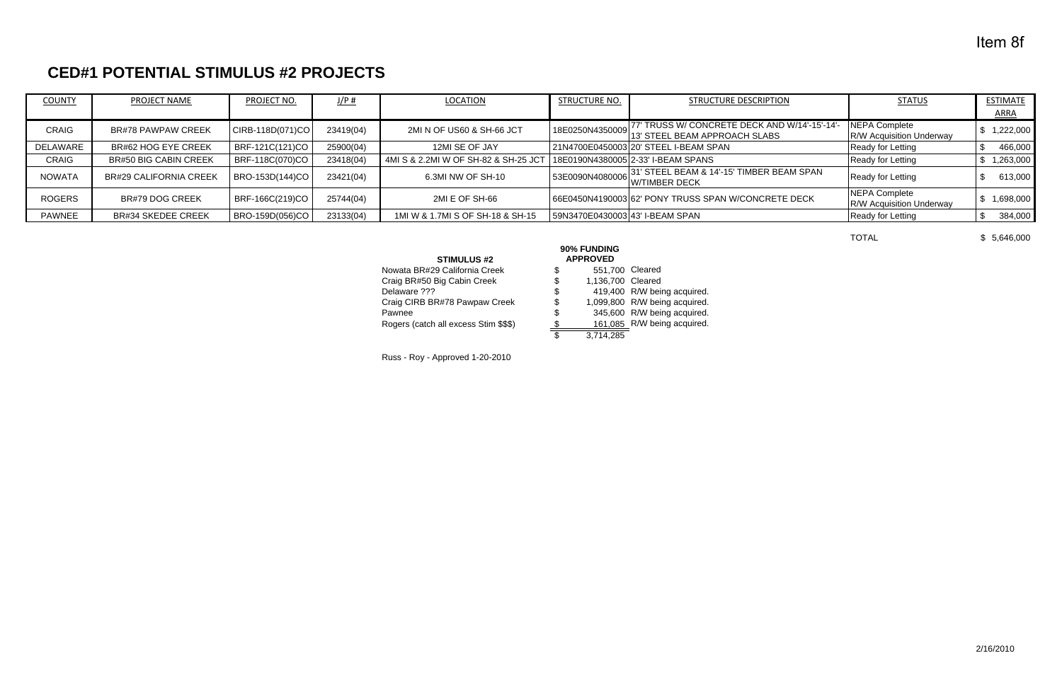# **CED#1 POTENTIAL STIMULUS #2 PROJECTS**

| <b>COUNTY</b> | PROJECT NAME                  | PROJECT NO.      | J/P#      | <b>LOCATION</b>                      | <b>STRUCTURE NO.</b>            | <b>STRUCTURE DESCRIPTION</b>                                                                      | <b>STATUS</b>                                    | <b>ESTIMATE</b> |
|---------------|-------------------------------|------------------|-----------|--------------------------------------|---------------------------------|---------------------------------------------------------------------------------------------------|--------------------------------------------------|-----------------|
|               |                               |                  |           |                                      |                                 |                                                                                                   |                                                  | <b>ARRA</b>     |
| <b>CRAIG</b>  | <b>BR#78 PAWPAW CREEK</b>     | CIRB-118D(071)CO | 23419(04) | 2MI N OF US60 & SH-66 JCT            |                                 | 77' TRUSS W/ CONCRETE DECK AND W/14'-15'-14'<br> 18E0250N4350009 '' ''' STEEL BEAM APPROACH SLABS | NEPA Complete<br><b>R/W Acquisition Underway</b> | 1,222,000       |
| DELAWARE      | BR#62 HOG EYE CREEK           | BRF-121C(121)CO  | 25900(04) | 12MI SE OF JAY                       |                                 | 21N4700E0450003 20' STEEL I-BEAM SPAN                                                             | Ready for Letting                                | 466,000         |
| <b>CRAIG</b>  | <b>BR#50 BIG CABIN CREEK</b>  | BRF-118C(070)CO  | 23418(04) | 4MI S & 2.2MI W OF SH-82 & SH-25 JCT |                                 | 18E0190N4380005 2-33' I-BEAM SPANS                                                                | Ready for Letting                                | 263,000,        |
| <b>NOWATA</b> | <b>BR#29 CALIFORNIA CREEK</b> | BRO-153D(144)CO  | 23421(04) | 6.3MI NW OF SH-10                    | 53E0090N4080006                 | 31' STEEL BEAM & 14'-15' TIMBER BEAM SPAN<br><b>W/TIMBER DECK</b>                                 | Ready for Letting                                | 613,000         |
| <b>ROGERS</b> | BR#79 DOG CREEK               | BRF-166C(219)CO  | 25744(04) | 2MI E OF SH-66                       |                                 | 66E0450N4190003 62' PONY TRUSS SPAN W/CONCRETE DECK                                               | NEPA Complete<br><b>R/W Acquisition Underway</b> | 1,698,000       |
| <b>PAWNEE</b> | <b>BR#34 SKEDEE CREEK</b>     | BRO-159D(056)CO  | 23133(04) | 1MI W & 1.7MI S OF SH-18 & SH-15     | 59N3470E0430003 43' I-BEAM SPAN |                                                                                                   | Ready for Letting                                | 384,000         |

TOTAL

\$ 5,646,000

#### **STIMULUS #2**

Craig BR#50 Big Cabin Creek  $\begin{array}{ccc}\n\text{5} & 1,136,700 & \text{Cleared} \\
\text{Delaware ??} & \text{5} & 419,400 & \text{RW} \n\end{array}$ Craig CIRB BR#78 Pawpaw Creek Rogers (catch all excess Stim \$\$\$)  $\frac{\$}{\$}$ 

### **90% FUNDING APPROVED**Nowata BR#29 California Creek  $$51,700$  Cleared \$ 419,400 R/W being acquired.<br>\$ 1,099,800 R/W being acquired.<br>\$ 345,600 R/W being acquired. Pawnee<br>Rogers (catch all excess Stim \$\$\$)  $\frac{1}{3}$  345,600 R/W being acquired.<br>Rogers (catch all excess Stim \$\$\$)  $\frac{1}{3}$  161,085 R/W being acquired. \$ 3,714,285

Russ - Roy - Approved 1-20-2010

# Item 8f